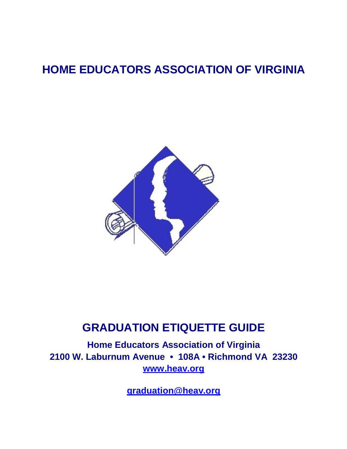# **HOME EDUCATORS ASSOCIATION OF VIRGINIA**



## **GRADUATION ETIQUETTE GUIDE**

**Home Educators Association of Virginia 2100 W. Laburnum Avenue • 108A • Richmond VA 23230 [www.heav.org](http://www.heav.org/)**

**[graduation@heav.org](mailto:graudation@heav.org)**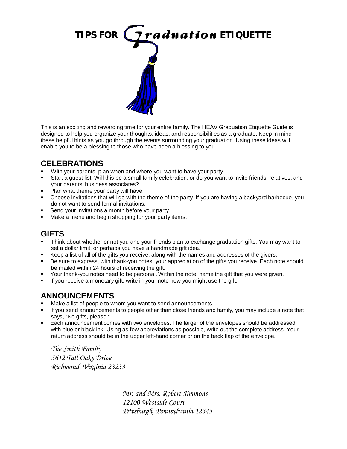

This is an exciting and rewarding time for your entire family. The HEAV Graduation Etiquette Guide is designed to help you organize your thoughts, ideas, and responsibilities as a graduate. Keep in mind these helpful hints as you go through the events surrounding your graduation. Using these ideas will enable you to be a blessing to those who have been a blessing to you.

### **CELEBRATIONS**

- With your parents, plan when and where you want to have your party.
- Start a guest list. Will this be a small family celebration, or do you want to invite friends, relatives, and your parents' business associates?
- **Plan what theme your party will have.**
- Choose invitations that will go with the theme of the party. If you are having a backyard barbecue, you do not want to send formal invitations.
- Send your invitations a month before your party.
- Make a menu and begin shopping for your party items.

#### **GIFTS**

- Think about whether or not you and your friends plan to exchange graduation gifts. You may want to set a dollar limit, or perhaps you have a handmade gift idea.
- Keep a list of all of the gifts you receive, along with the names and addresses of the givers.
- Be sure to express, with thank-you notes, your appreciation of the gifts you receive. Each note should be mailed within 24 hours of receiving the gift.
- Your thank-you notes need to be personal. Within the note, name the gift that you were given.
- If you receive a monetary gift, write in your note how you might use the gift.

### **ANNOUNCEMENTS**

- Make a list of people to whom you want to send announcements.
- If you send announcements to people other than close friends and family, you may include a note that says, "No gifts, please."
- Each announcement comes with two envelopes. The larger of the envelopes should be addressed with blue or black ink. Using as few abbreviations as possible, write out the complete address. Your return address should be in the upper left-hand corner or on the back flap of the envelope.

*The Smith Family 5612 Tall Oaks Drive Richmond, Virginia 23233*

> *Mr. and Mrs. Robert Simmons 12100 Westside Court Pittsburgh, Pennsylvania 12345*